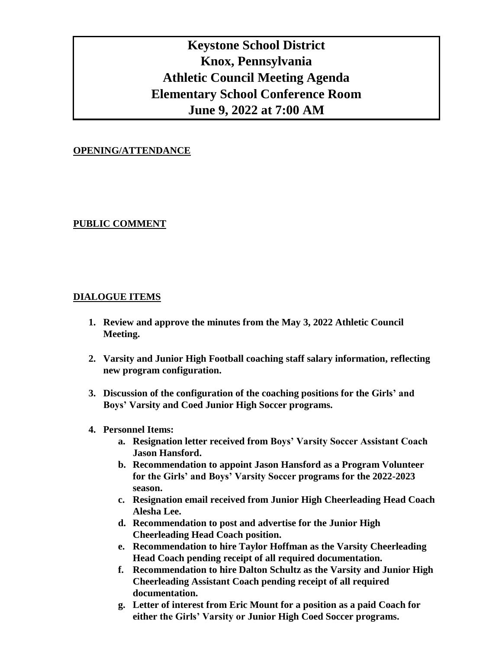# **Keystone School District Knox, Pennsylvania Athletic Council Meeting Agenda Elementary School Conference Room June 9, 2022 at 7:00 AM**

### **OPENING/ATTENDANCE**

# **PUBLIC COMMENT**

# **DIALOGUE ITEMS**

- **1. Review and approve the minutes from the May 3, 2022 Athletic Council Meeting.**
- **2. Varsity and Junior High Football coaching staff salary information, reflecting new program configuration.**
- **3. Discussion of the configuration of the coaching positions for the Girls' and Boys' Varsity and Coed Junior High Soccer programs.**

### **4. Personnel Items:**

- **a. Resignation letter received from Boys' Varsity Soccer Assistant Coach Jason Hansford.**
- **b. Recommendation to appoint Jason Hansford as a Program Volunteer for the Girls' and Boys' Varsity Soccer programs for the 2022-2023 season.**
- **c. Resignation email received from Junior High Cheerleading Head Coach Alesha Lee.**
- **d. Recommendation to post and advertise for the Junior High Cheerleading Head Coach position.**
- **e. Recommendation to hire Taylor Hoffman as the Varsity Cheerleading Head Coach pending receipt of all required documentation.**
- **f. Recommendation to hire Dalton Schultz as the Varsity and Junior High Cheerleading Assistant Coach pending receipt of all required documentation.**
- **g. Letter of interest from Eric Mount for a position as a paid Coach for either the Girls' Varsity or Junior High Coed Soccer programs.**